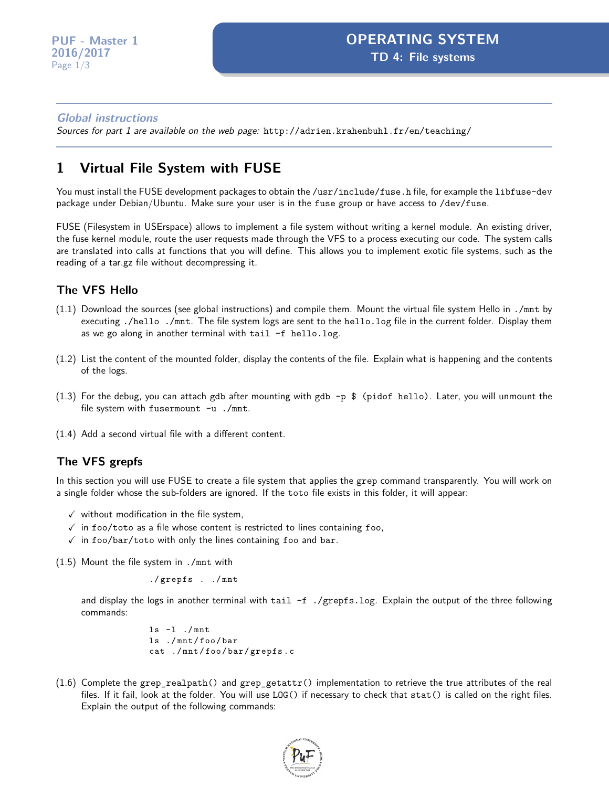#### **Global instructions**

Sources for part 1 are available on the web page: <http://adrien.krahenbuhl.fr/en/teaching/>

# **1 Virtual File System with FUSE**

You must install the FUSE development packages to obtain the /usr/include/fuse.h file, for example the libfuse-dev package under Debian/Ubuntu. Make sure your user is in the fuse group or have access to /dev/fuse.

FUSE (Filesystem in USErspace) allows to implement a file system without writing a kernel module. An existing driver, the fuse kernel module, route the user requests made through the VFS to a process executing our code. The system calls are translated into calls at functions that you will define. This allows you to implement exotic file systems, such as the reading of a tar.gz file without decompressing it.

#### **The VFS Hello**

- (1.1) Download the sources (see global instructions) and compile them. Mount the virtual file system Hello in ./mnt by executing ./hello ./mnt. The file system logs are sent to the hello.log file in the current folder. Display them as we go along in another terminal with tail -f hello.log.
- (1.2) List the content of the mounted folder, display the contents of the file. Explain what is happening and the contents of the logs.
- (1.3) For the debug, you can attach gdb after mounting with gdb  $-p$  \$ (pidof hello). Later, you will unmount the file system with fusermount -u ./mnt.
- (1.4) Add a second virtual file with a different content.

#### **The VFS grepfs**

In this section you will use FUSE to create a file system that applies the grep command transparently. You will work on a single folder whose the sub-folders are ignored. If the toto file exists in this folder, it will appear:

- $\checkmark$  without modification in the file system,
- $\checkmark$  in foo/toto as a file whose content is restricted to lines containing foo,
- $\checkmark$  in foo/bar/toto with only the lines containing foo and bar.

(1.5) Mount the file system in ./mnt with

./ grepfs . ./ mnt

and display the logs in another terminal with tail -f ./grepfs.log. Explain the output of the three following commands:

```
ls -l ./ mnt
ls ./ mnt / foo / bar
cat ./ mnt / foo / bar / grepfs . c
```
(1.6) Complete the grep\_realpath() and grep\_getattr() implementation to retrieve the true attributes of the real files. If it fail, look at the folder. You will use LOG() if necessary to check that stat() is called on the right files. Explain the output of the following commands:

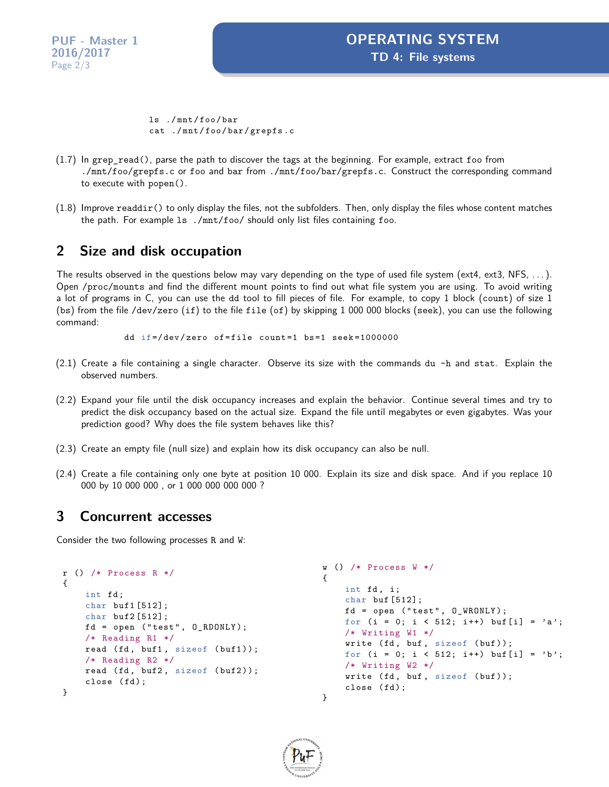**PUF - Master 1 2016/2017** Page 2[/3](#page-2-0)

ls ./ mnt / foo / bar cat ./ mnt / foo / bar / grepfs . c

- (1.7) In grep\_read(), parse the path to discover the tags at the beginning. For example, extract foo from ./mnt/foo/grepfs.c or foo and bar from ./mnt/foo/bar/grepfs.c. Construct the corresponding command to execute with popen().
- $(1.8)$  Improve readdir() to only display the files, not the subfolders. Then, only display the files whose content matches the path. For example ls ./mnt/foo/ should only list files containing foo.

## **2 Size and disk occupation**

The results observed in the questions below may vary depending on the type of used file system (ext4, ext3, NFS,  $\dots$ ). Open /proc/mounts and find the different mount points to find out what file system you are using. To avoid writing a lot of programs in C, you can use the dd tool to fill pieces of file. For example, to copy 1 block (count) of size 1 (bs) from the file /dev/zero (if) to the file file (of) by skipping 1 000 000 blocks (seek), you can use the following command:

dd if =/ dev / zero of = file count =1 bs =1 seek =1000000

- (2.1) Create a file containing a single character. Observe its size with the commands du -h and stat. Explain the observed numbers.
- (2.2) Expand your file until the disk occupancy increases and explain the behavior. Continue several times and try to predict the disk occupancy based on the actual size. Expand the file until megabytes or even gigabytes. Was your prediction good? Why does the file system behaves like this?
- (2.3) Create an empty file (null size) and explain how its disk occupancy can also be null.
- (2.4) Create a file containing only one byte at position 10 000. Explain its size and disk space. And if you replace 10 000 by 10 000 000 , or 1 000 000 000 000 ?

### **3 Concurrent accesses**

Consider the two following processes R and W:

```
r () /* Process R */
{
    int fd;
    char buf1 [512];
    char buf2 [512];
    fd = open ('test'', 0_RDOMLY);/* Reading R1 */
    read (fd, buf1, sizeof (buf1));
    /* Reading R2 */
    read (fd, buf2, sizeof (buf2));
    close (fd);
}
                                               w () /* Process W */
                                                {
                                                    int fd, i;
                                                    char buf [512];
                                                   fd = open('test", 0_WRONLY);for (i = 0; i < 512; i++) buf [i] = 'a';
                                                    /* Writing W1 */
                                                   write (fd, buf, sizeof (buf));for (i = 0; i < 512; i++) buf [i] = 'b';/* Writing W2 */
                                                    write (fd, buf, sizeof (buf));
                                                    close (fd);
                                                }
```